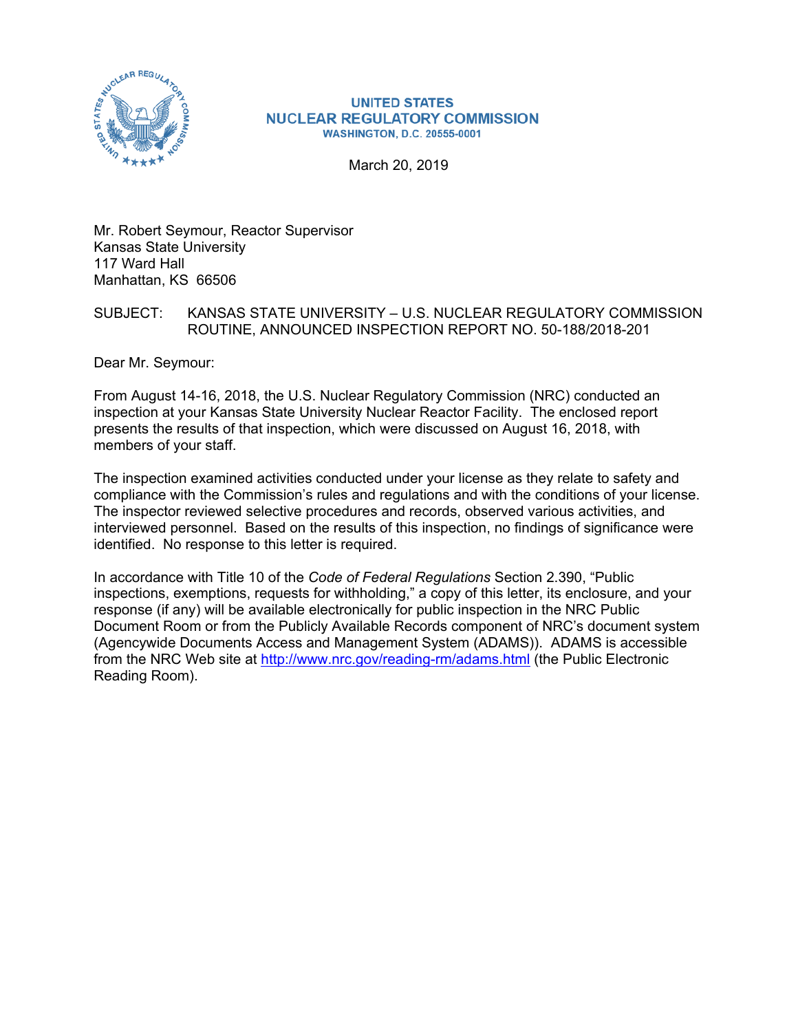

# **NUCLEAR REGULATORY COMMISSION WASHINGTON, D.C. 20555-0001**

March 20, 2019

Mr. Robert Seymour, Reactor Supervisor Kansas State University 117 Ward Hall Manhattan, KS 66506

# SUBJECT: KANSAS STATE UNIVERSITY – U.S. NUCLEAR REGULATORY COMMISSION ROUTINE, ANNOUNCED INSPECTION REPORT NO. 50-188/2018-201

Dear Mr. Seymour:

From August 14-16, 2018, the U.S. Nuclear Regulatory Commission (NRC) conducted an inspection at your Kansas State University Nuclear Reactor Facility. The enclosed report presents the results of that inspection, which were discussed on August 16, 2018, with members of your staff.

The inspection examined activities conducted under your license as they relate to safety and compliance with the Commission's rules and regulations and with the conditions of your license. The inspector reviewed selective procedures and records, observed various activities, and interviewed personnel. Based on the results of this inspection, no findings of significance were identified. No response to this letter is required.

In accordance with Title 10 of the *Code of Federal Regulations* Section 2.390, "Public inspections, exemptions, requests for withholding," a copy of this letter, its enclosure, and your response (if any) will be available electronically for public inspection in the NRC Public Document Room or from the Publicly Available Records component of NRC's document system (Agencywide Documents Access and Management System (ADAMS)). ADAMS is accessible from the NRC Web site at http://www.nrc.gov/reading-rm/adams.html (the Public Electronic Reading Room).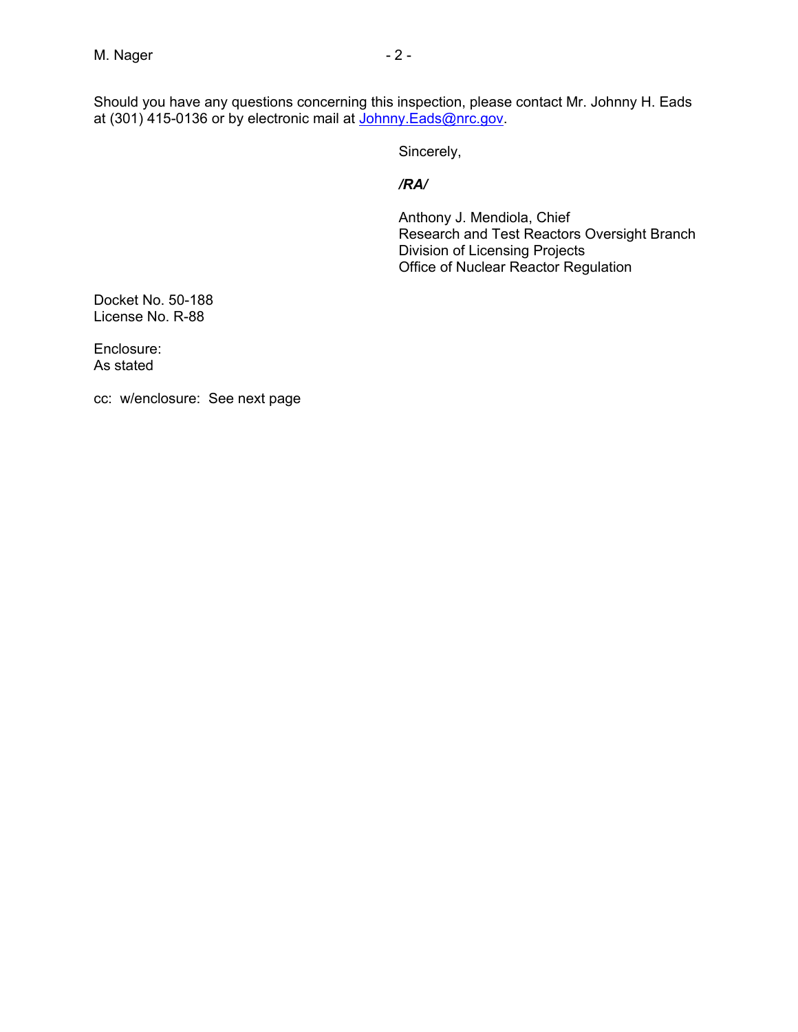Should you have any questions concerning this inspection, please contact Mr. Johnny H. Eads at (301) 415-0136 or by electronic mail at <u>Johnny.Eads@nrc.gov</u>.

Sincerely,

#### */RA/*

Anthony J. Mendiola, Chief Research and Test Reactors Oversight Branch Division of Licensing Projects Office of Nuclear Reactor Regulation

Docket No. 50-188 License No. R-88

Enclosure: As stated

cc: w/enclosure: See next page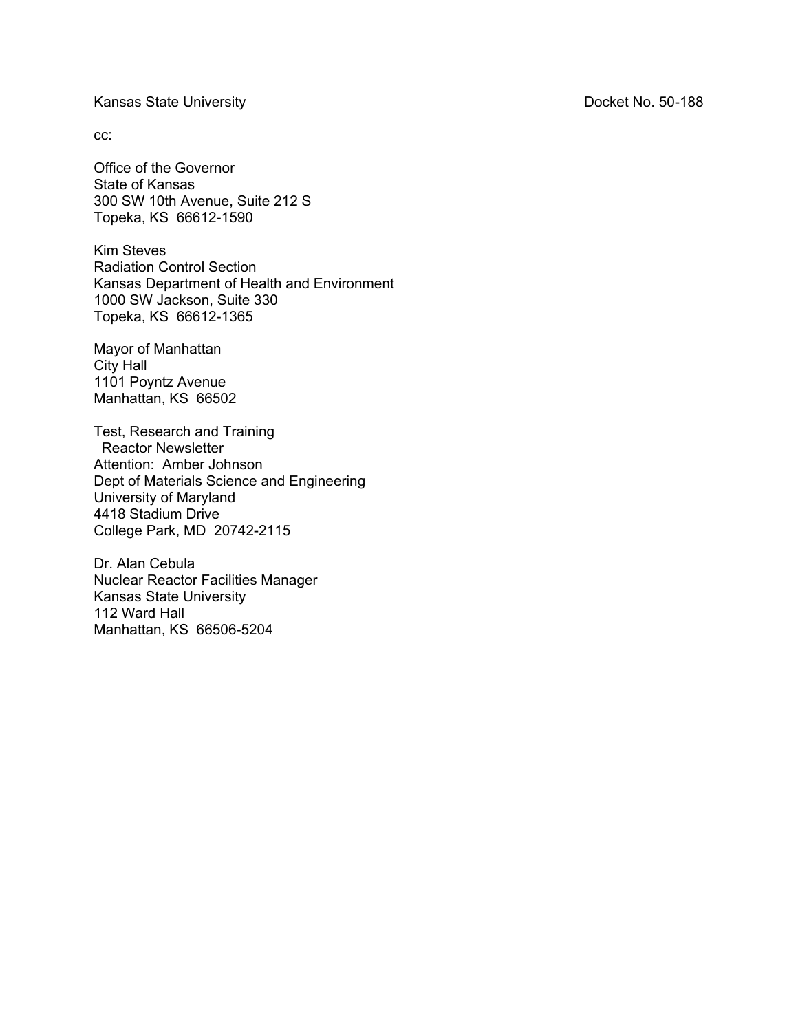Kansas State University **No. 2018** Contract No. 50-188

cc:

Office of the Governor State of Kansas 300 SW 10th Avenue, Suite 212 S Topeka, KS 66612-1590

Kim Steves Radiation Control Section Kansas Department of Health and Environment 1000 SW Jackson, Suite 330 Topeka, KS 66612-1365

Mayor of Manhattan City Hall 1101 Poyntz Avenue Manhattan, KS 66502

Test, Research and Training Reactor Newsletter Attention: Amber Johnson Dept of Materials Science and Engineering University of Maryland 4418 Stadium Drive College Park, MD 20742-2115

Dr. Alan Cebula Nuclear Reactor Facilities Manager Kansas State University 112 Ward Hall Manhattan, KS 66506-5204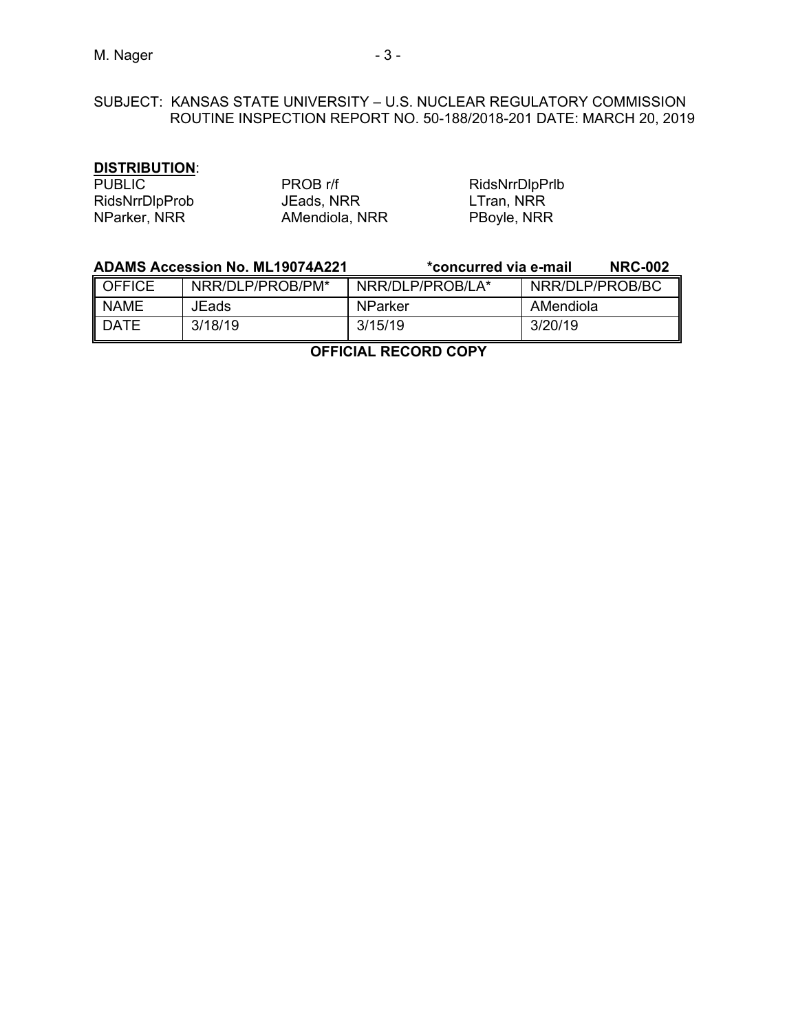#### **DISTRIBUTION**:

| <b>PUBLIC</b>         | PROB r   |
|-----------------------|----------|
| <b>RidsNrrDlpProb</b> | JEads, l |
| NParker, NRR          | AMendi   |

r/f RidsNrrDlpPrlb NRR **IDSNRR**LTran, NRR iola, NRR **PBoyle, NRR** 

|               | <b>ADAMS Accession No. ML19074A221</b> | *concurred via e-mail |                 | <b>NRC-002</b> |
|---------------|----------------------------------------|-----------------------|-----------------|----------------|
| <b>OFFICE</b> | NRR/DLP/PROB/PM*                       | NRR/DLP/PROB/LA*      | NRR/DLP/PROB/BC |                |
| <b>NAME</b>   | JEads                                  | NParker               | AMendiola       |                |
| <b>DATE</b>   | 3/18/19                                | 3/15/19               | 3/20/19         |                |

**OFFICIAL RECORD COPY**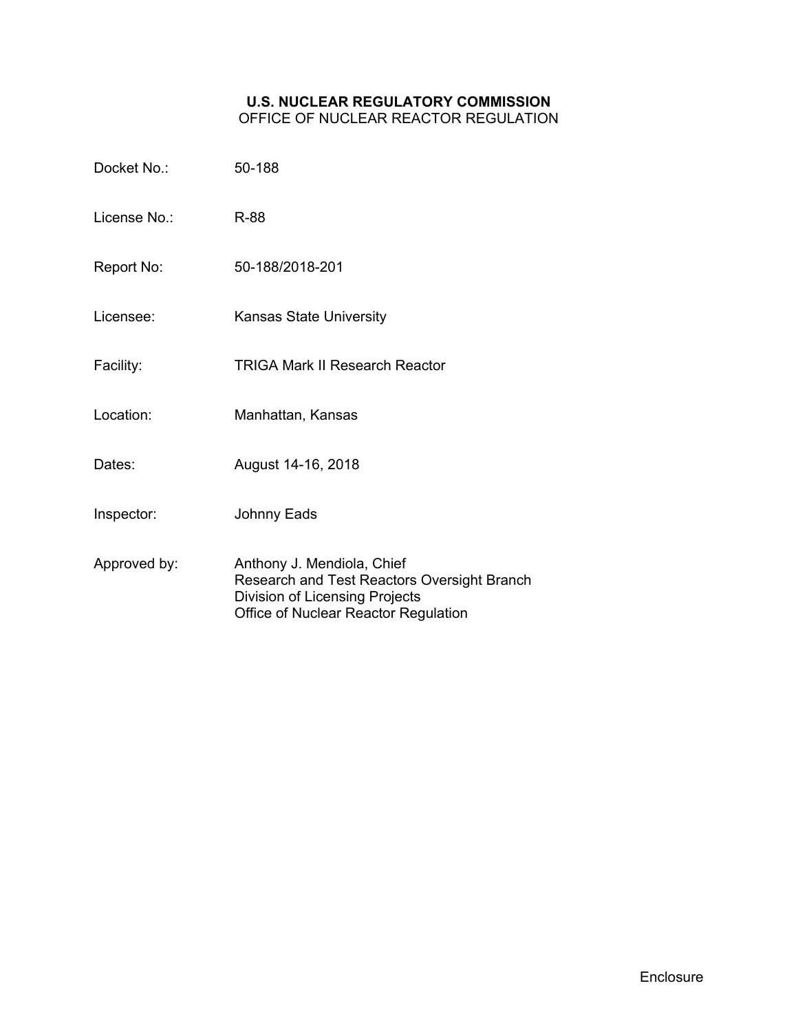# **U.S. NUCLEAR REGULATORY COMMISSION**

OFFICE OF NUCLEAR REACTOR REGULATION

| Docket No.:  | 50-188                                                                                                                                              |
|--------------|-----------------------------------------------------------------------------------------------------------------------------------------------------|
| License No.: | R-88                                                                                                                                                |
| Report No:   | 50-188/2018-201                                                                                                                                     |
| Licensee:    | <b>Kansas State University</b>                                                                                                                      |
| Facility:    | <b>TRIGA Mark II Research Reactor</b>                                                                                                               |
| Location:    | Manhattan, Kansas                                                                                                                                   |
| Dates:       | August 14-16, 2018                                                                                                                                  |
| Inspector:   | <b>Johnny Eads</b>                                                                                                                                  |
| Approved by: | Anthony J. Mendiola, Chief<br>Research and Test Reactors Oversight Branch<br>Division of Licensing Projects<br>Office of Nuclear Reactor Regulation |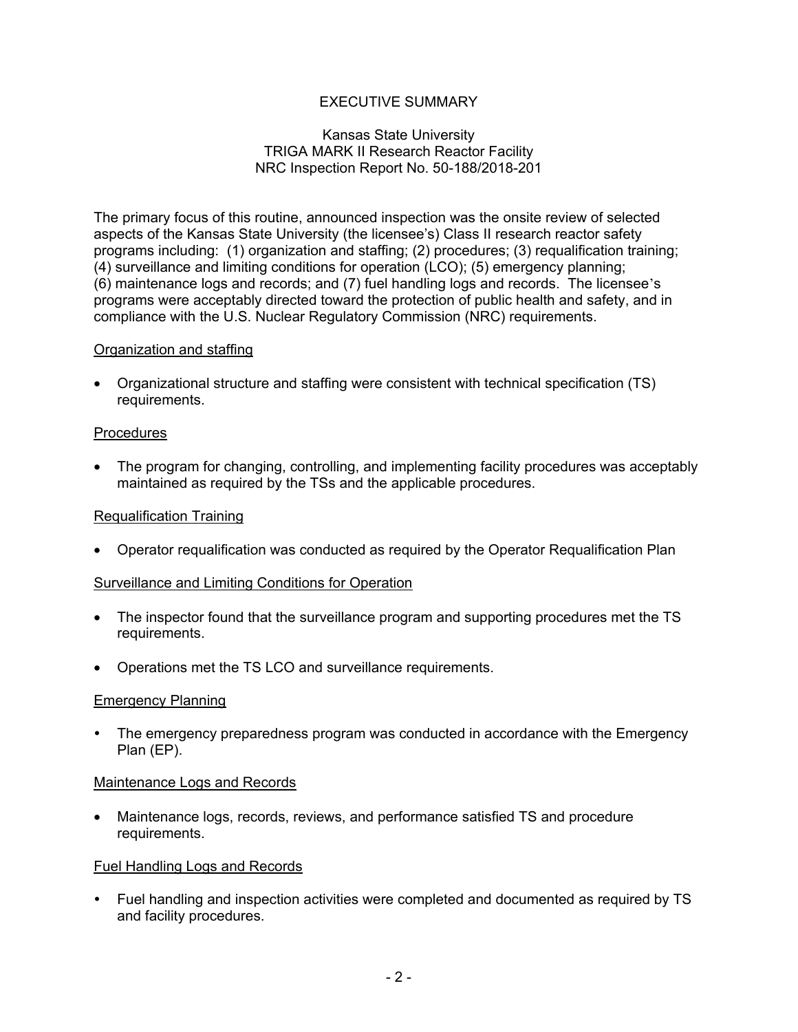# EXECUTIVE SUMMARY

#### Kansas State University TRIGA MARK II Research Reactor Facility NRC Inspection Report No. 50-188/2018-201

The primary focus of this routine, announced inspection was the onsite review of selected aspects of the Kansas State University (the licensee's) Class II research reactor safety programs including: (1) organization and staffing; (2) procedures; (3) requalification training; (4) surveillance and limiting conditions for operation (LCO); (5) emergency planning; (6) maintenance logs and records; and (7) fuel handling logs and records. The licensee's programs were acceptably directed toward the protection of public health and safety, and in compliance with the U.S. Nuclear Regulatory Commission (NRC) requirements.

## Organization and staffing

• Organizational structure and staffing were consistent with technical specification (TS) requirements.

## **Procedures**

• The program for changing, controlling, and implementing facility procedures was acceptably maintained as required by the TSs and the applicable procedures.

#### Requalification Training

• Operator requalification was conducted as required by the Operator Requalification Plan

#### Surveillance and Limiting Conditions for Operation

- The inspector found that the surveillance program and supporting procedures met the TS requirements.
- Operations met the TS LCO and surveillance requirements.

#### Emergency Planning

 The emergency preparedness program was conducted in accordance with the Emergency Plan (EP).

#### Maintenance Logs and Records

• Maintenance logs, records, reviews, and performance satisfied TS and procedure requirements.

#### Fuel Handling Logs and Records

 Fuel handling and inspection activities were completed and documented as required by TS and facility procedures.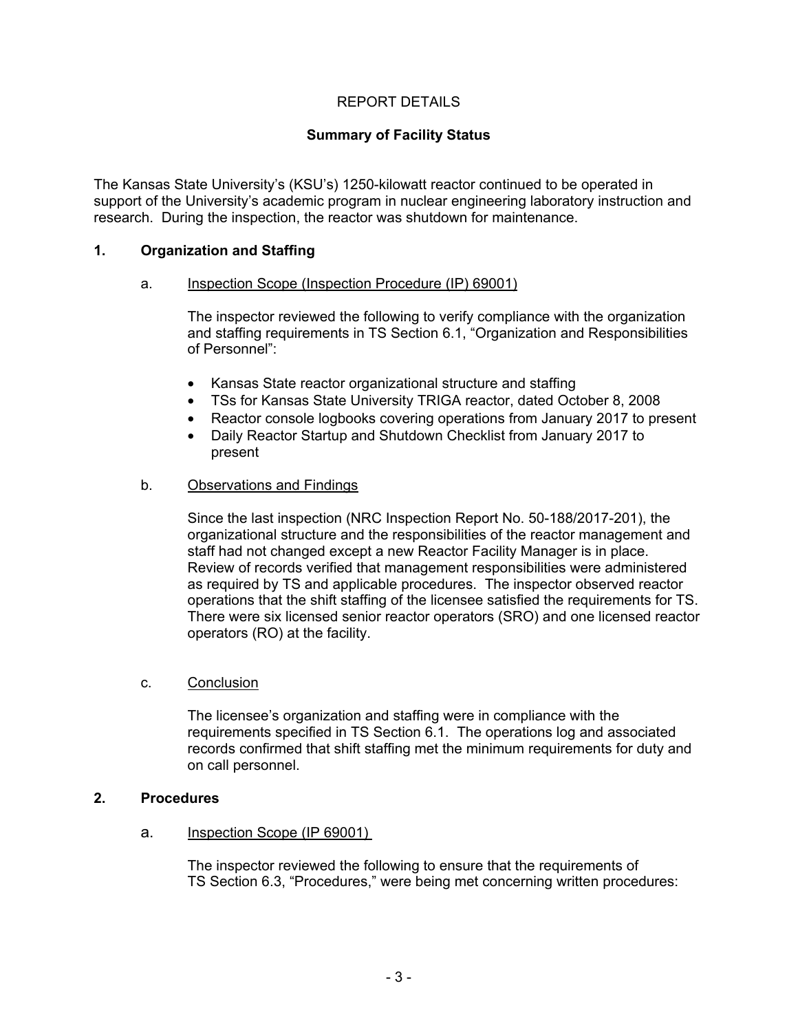# REPORT DETAILS

# **Summary of Facility Status**

The Kansas State University's (KSU's) 1250-kilowatt reactor continued to be operated in support of the University's academic program in nuclear engineering laboratory instruction and research. During the inspection, the reactor was shutdown for maintenance.

## **1. Organization and Staffing**

#### a. Inspection Scope (Inspection Procedure (IP) 69001)

The inspector reviewed the following to verify compliance with the organization and staffing requirements in TS Section 6.1, "Organization and Responsibilities of Personnel":

- Kansas State reactor organizational structure and staffing
- TSs for Kansas State University TRIGA reactor, dated October 8, 2008
- Reactor console logbooks covering operations from January 2017 to present
- Daily Reactor Startup and Shutdown Checklist from January 2017 to present

## b. Observations and Findings

Since the last inspection (NRC Inspection Report No. 50-188/2017-201), the organizational structure and the responsibilities of the reactor management and staff had not changed except a new Reactor Facility Manager is in place. Review of records verified that management responsibilities were administered as required by TS and applicable procedures. The inspector observed reactor operations that the shift staffing of the licensee satisfied the requirements for TS. There were six licensed senior reactor operators (SRO) and one licensed reactor operators (RO) at the facility.

#### c. Conclusion

The licensee's organization and staffing were in compliance with the requirements specified in TS Section 6.1. The operations log and associated records confirmed that shift staffing met the minimum requirements for duty and on call personnel.

# **2. Procedures**

#### a. Inspection Scope (IP 69001)

The inspector reviewed the following to ensure that the requirements of TS Section 6.3, "Procedures," were being met concerning written procedures: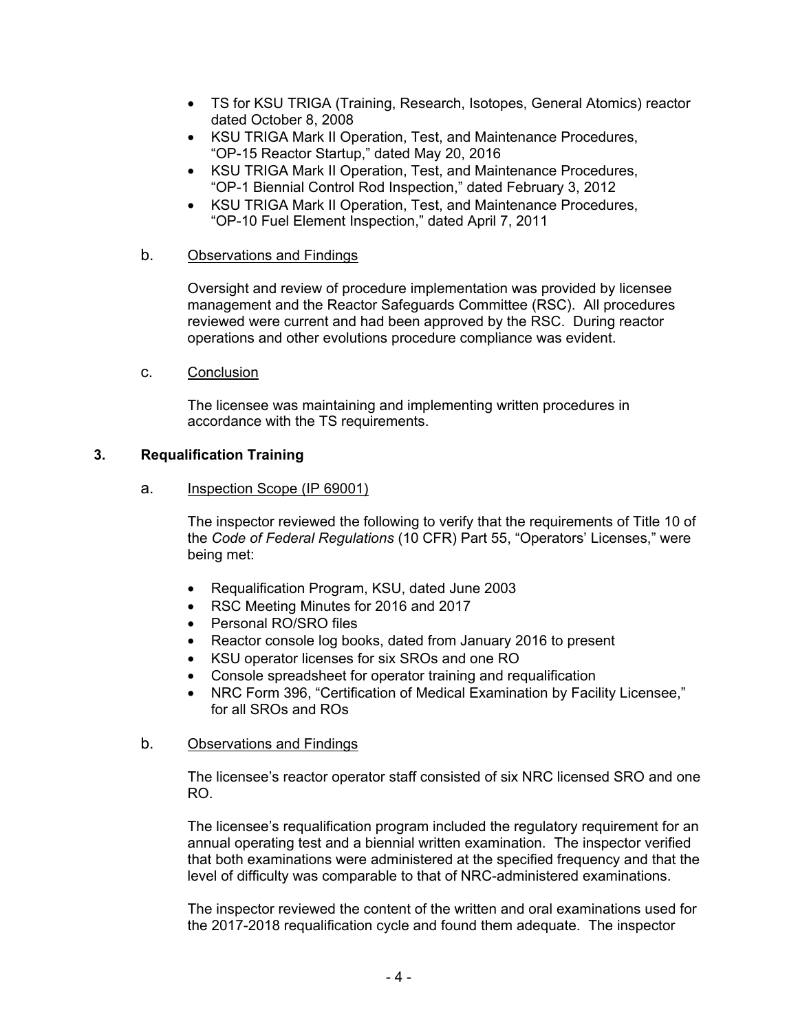- TS for KSU TRIGA (Training, Research, Isotopes, General Atomics) reactor dated October 8, 2008
- KSU TRIGA Mark II Operation, Test, and Maintenance Procedures, "OP-15 Reactor Startup," dated May 20, 2016
- KSU TRIGA Mark II Operation, Test, and Maintenance Procedures, "OP-1 Biennial Control Rod Inspection," dated February 3, 2012
- KSU TRIGA Mark II Operation, Test, and Maintenance Procedures, "OP-10 Fuel Element Inspection," dated April 7, 2011

## b. Observations and Findings

Oversight and review of procedure implementation was provided by licensee management and the Reactor Safeguards Committee (RSC). All procedures reviewed were current and had been approved by the RSC. During reactor operations and other evolutions procedure compliance was evident.

## c. Conclusion

The licensee was maintaining and implementing written procedures in accordance with the TS requirements.

## **3. Requalification Training**

## a. Inspection Scope (IP 69001)

The inspector reviewed the following to verify that the requirements of Title 10 of the *Code of Federal Regulations* (10 CFR) Part 55, "Operators' Licenses," were being met:

- Requalification Program, KSU, dated June 2003
- RSC Meeting Minutes for 2016 and 2017
- Personal RO/SRO files
- Reactor console log books, dated from January 2016 to present
- KSU operator licenses for six SROs and one RO
- Console spreadsheet for operator training and requalification
- NRC Form 396, "Certification of Medical Examination by Facility Licensee," for all SROs and ROs

# b. Observations and Findings

The licensee's reactor operator staff consisted of six NRC licensed SRO and one RO.

The licensee's requalification program included the regulatory requirement for an annual operating test and a biennial written examination. The inspector verified that both examinations were administered at the specified frequency and that the level of difficulty was comparable to that of NRC-administered examinations.

The inspector reviewed the content of the written and oral examinations used for the 2017-2018 requalification cycle and found them adequate. The inspector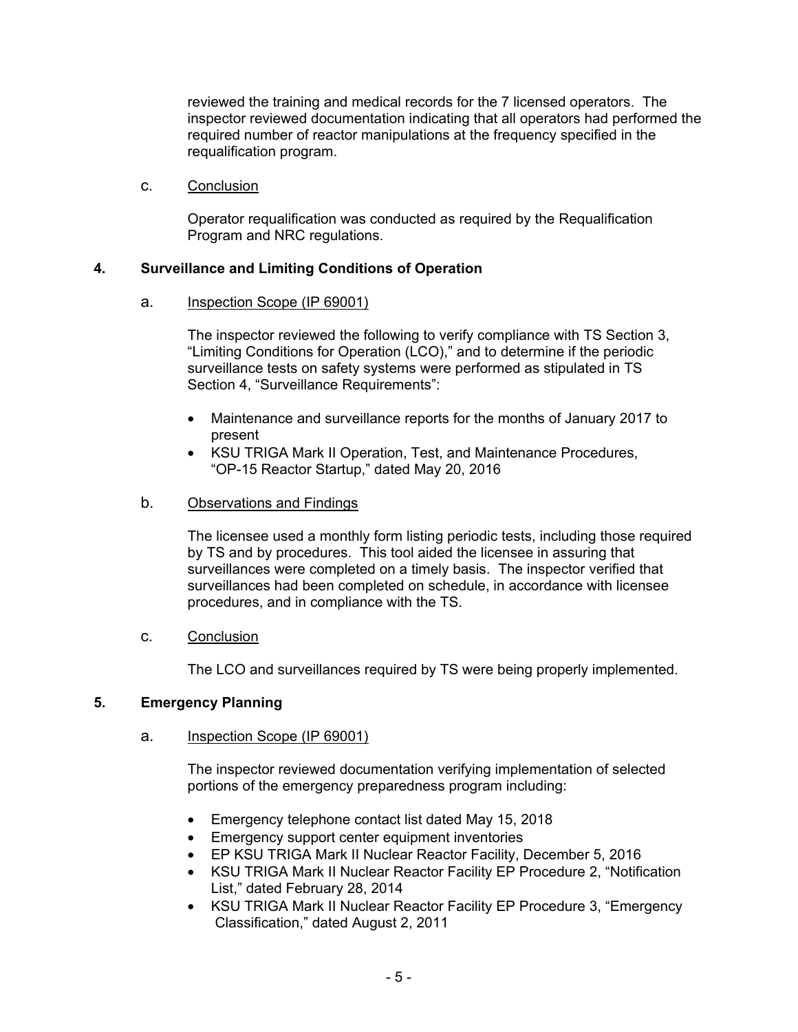reviewed the training and medical records for the 7 licensed operators. The inspector reviewed documentation indicating that all operators had performed the required number of reactor manipulations at the frequency specified in the requalification program.

c. Conclusion

Operator requalification was conducted as required by the Requalification Program and NRC regulations.

# **4. Surveillance and Limiting Conditions of Operation**

a. Inspection Scope (IP 69001)

The inspector reviewed the following to verify compliance with TS Section 3, "Limiting Conditions for Operation (LCO)," and to determine if the periodic surveillance tests on safety systems were performed as stipulated in TS Section 4, "Surveillance Requirements":

- Maintenance and surveillance reports for the months of January 2017 to present
- KSU TRIGA Mark II Operation, Test, and Maintenance Procedures, "OP-15 Reactor Startup," dated May 20, 2016
- b. Observations and Findings

The licensee used a monthly form listing periodic tests, including those required by TS and by procedures. This tool aided the licensee in assuring that surveillances were completed on a timely basis. The inspector verified that surveillances had been completed on schedule, in accordance with licensee procedures, and in compliance with the TS.

c. Conclusion

The LCO and surveillances required by TS were being properly implemented.

# **5. Emergency Planning**

# a. Inspection Scope (IP 69001)

The inspector reviewed documentation verifying implementation of selected portions of the emergency preparedness program including:

- Emergency telephone contact list dated May 15, 2018
- Emergency support center equipment inventories
- EP KSU TRIGA Mark II Nuclear Reactor Facility, December 5, 2016
- KSU TRIGA Mark II Nuclear Reactor Facility EP Procedure 2, "Notification List," dated February 28, 2014
- KSU TRIGA Mark II Nuclear Reactor Facility EP Procedure 3, "Emergency Classification," dated August 2, 2011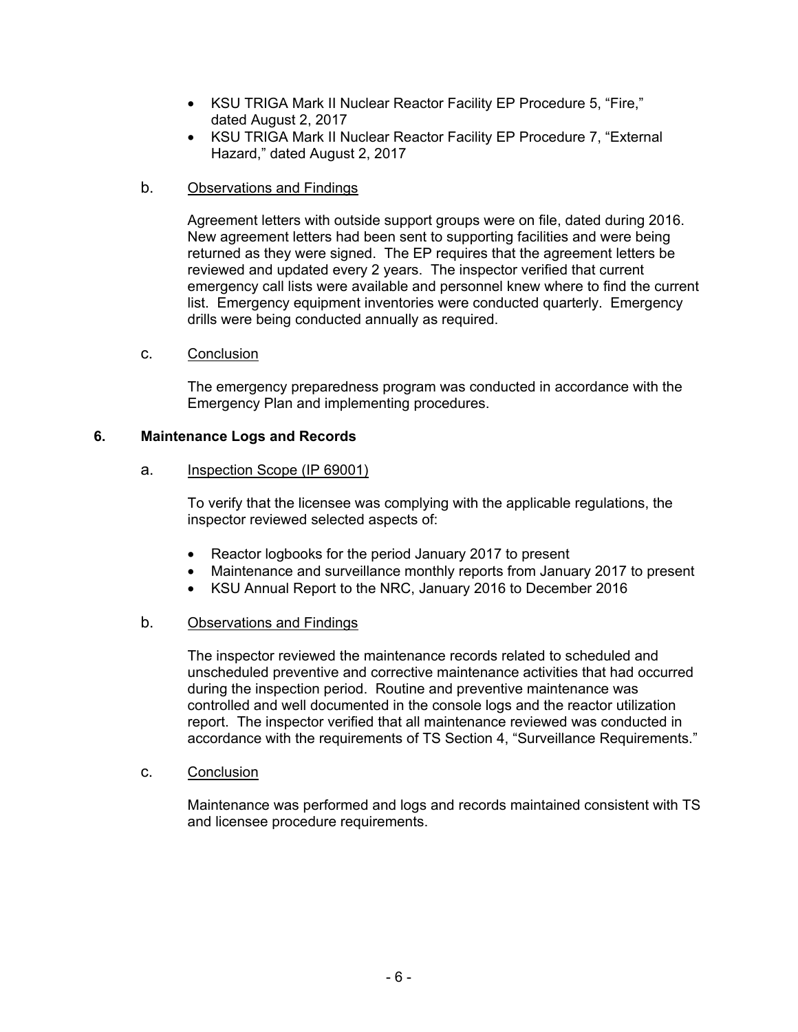- KSU TRIGA Mark II Nuclear Reactor Facility EP Procedure 5, "Fire," dated August 2, 2017
- KSU TRIGA Mark II Nuclear Reactor Facility EP Procedure 7, "External Hazard," dated August 2, 2017
- b. Observations and Findings

Agreement letters with outside support groups were on file, dated during 2016. New agreement letters had been sent to supporting facilities and were being returned as they were signed. The EP requires that the agreement letters be reviewed and updated every 2 years. The inspector verified that current emergency call lists were available and personnel knew where to find the current list. Emergency equipment inventories were conducted quarterly. Emergency drills were being conducted annually as required.

c. Conclusion

The emergency preparedness program was conducted in accordance with the Emergency Plan and implementing procedures.

# **6. Maintenance Logs and Records**

# a. Inspection Scope (IP 69001)

To verify that the licensee was complying with the applicable regulations, the inspector reviewed selected aspects of:

- Reactor logbooks for the period January 2017 to present
- Maintenance and surveillance monthly reports from January 2017 to present
- KSU Annual Report to the NRC, January 2016 to December 2016

# b. Observations and Findings

The inspector reviewed the maintenance records related to scheduled and unscheduled preventive and corrective maintenance activities that had occurred during the inspection period. Routine and preventive maintenance was controlled and well documented in the console logs and the reactor utilization report. The inspector verified that all maintenance reviewed was conducted in accordance with the requirements of TS Section 4, "Surveillance Requirements."

c. Conclusion

Maintenance was performed and logs and records maintained consistent with TS and licensee procedure requirements.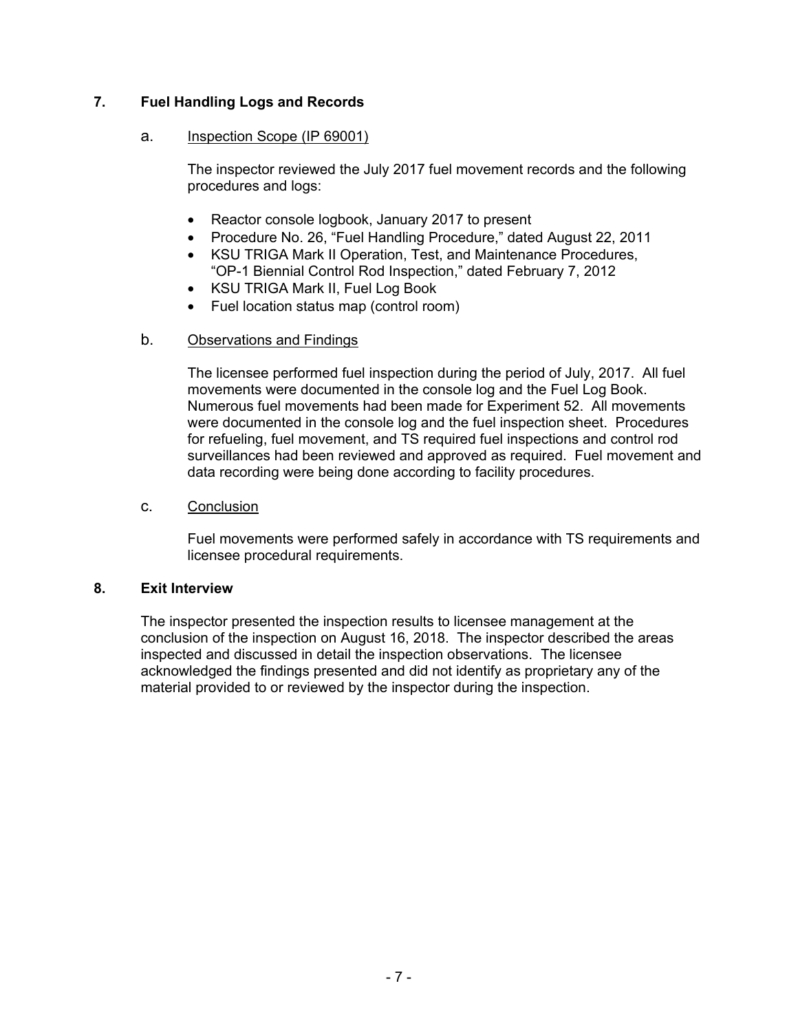# **7. Fuel Handling Logs and Records**

## a. Inspection Scope (IP 69001)

The inspector reviewed the July 2017 fuel movement records and the following procedures and logs:

- Reactor console logbook, January 2017 to present
- Procedure No. 26, "Fuel Handling Procedure," dated August 22, 2011
- KSU TRIGA Mark II Operation, Test, and Maintenance Procedures, "OP-1 Biennial Control Rod Inspection," dated February 7, 2012
- KSU TRIGA Mark II, Fuel Log Book
- Fuel location status map (control room)

# b. Observations and Findings

The licensee performed fuel inspection during the period of July, 2017. All fuel movements were documented in the console log and the Fuel Log Book. Numerous fuel movements had been made for Experiment 52. All movements were documented in the console log and the fuel inspection sheet. Procedures for refueling, fuel movement, and TS required fuel inspections and control rod surveillances had been reviewed and approved as required. Fuel movement and data recording were being done according to facility procedures.

# c. Conclusion

Fuel movements were performed safely in accordance with TS requirements and licensee procedural requirements.

# **8. Exit Interview**

The inspector presented the inspection results to licensee management at the conclusion of the inspection on August 16, 2018. The inspector described the areas inspected and discussed in detail the inspection observations. The licensee acknowledged the findings presented and did not identify as proprietary any of the material provided to or reviewed by the inspector during the inspection.